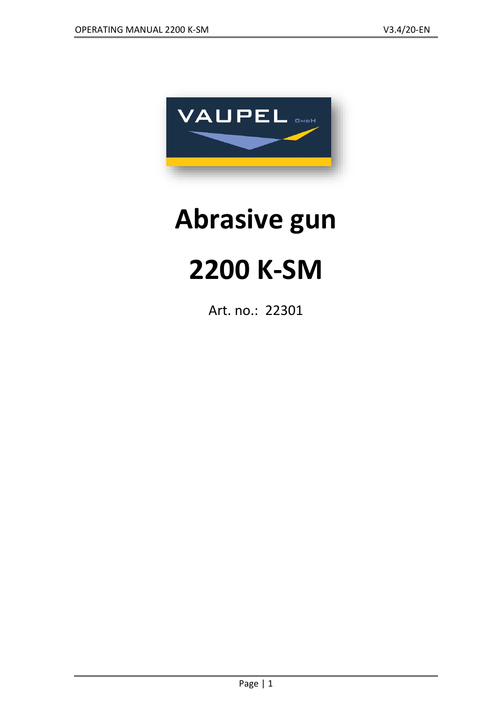

# **Abrasive gun**

## **2200 K-SM**

Art. no.: 22301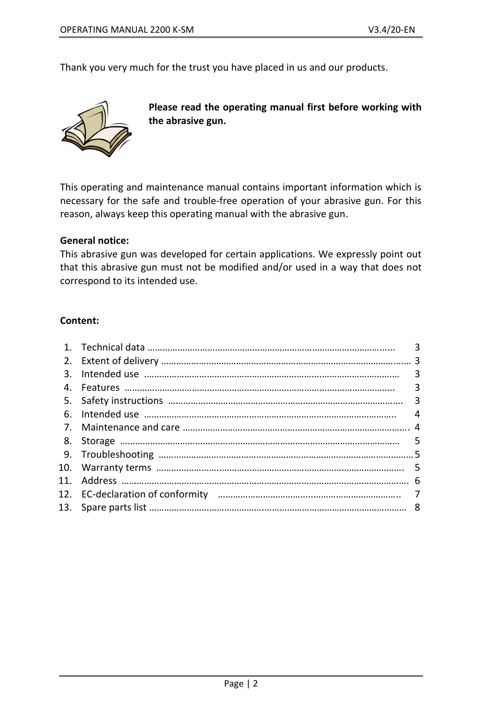Thank you very much for the trust you have placed in us and our products.



**Please read the operating manual first before working with the abrasive gun.**

This operating and maintenance manual contains important information which is necessary for the safe and trouble-free operation of your abrasive gun. For this reason, always keep this operating manual with the abrasive gun.

#### **General notice:**

This abrasive gun was developed for certain applications. We expressly point out that this abrasive gun must not be modified and/or used in a way that does not correspond to its intended use.

#### **Content:**

|                  | 3 |
|------------------|---|
|                  |   |
| $\mathbf{3}_{-}$ |   |
|                  |   |
|                  |   |
| 6.               | 4 |
| 7 <sub>1</sub>   |   |
|                  |   |
|                  |   |
|                  |   |
|                  |   |
|                  |   |
|                  |   |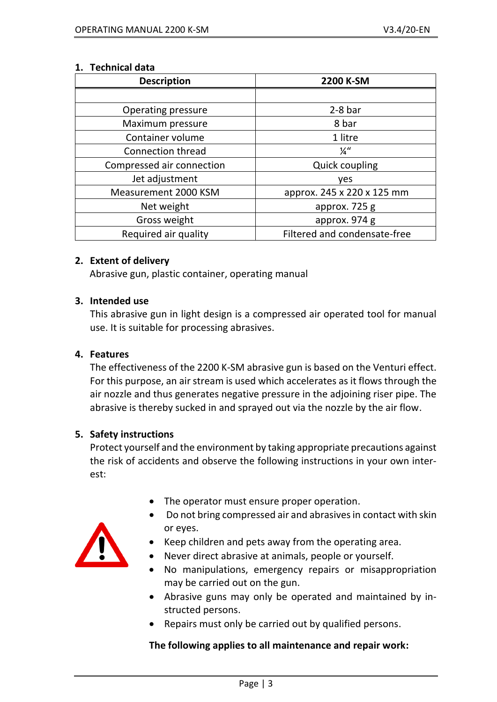#### **1. Technical data**

| <b>Description</b>        | 2200 K-SM                    |
|---------------------------|------------------------------|
|                           |                              |
| <b>Operating pressure</b> | $2-8$ bar                    |
| Maximum pressure          | 8 bar                        |
| Container volume          | 1 litre                      |
| <b>Connection thread</b>  | $\frac{1}{4}$ "              |
| Compressed air connection | <b>Quick coupling</b>        |
| Jet adjustment            | yes                          |
| Measurement 2000 KSM      | approx. 245 x 220 x 125 mm   |
| Net weight                | approx. 725 g                |
| Gross weight              | approx. 974 g                |
| Required air quality      | Filtered and condensate-free |

#### **2. Extent of delivery**

Abrasive gun, plastic container, operating manual

#### **3. Intended use**

This abrasive gun in light design is a compressed air operated tool for manual use. It is suitable for processing abrasives.

#### **4. Features**

The effectiveness of the 2200 K-SM abrasive gun is based on the Venturi effect. For this purpose, an air stream is used which accelerates as it flows through the air nozzle and thus generates negative pressure in the adjoining riser pipe. The abrasive is thereby sucked in and sprayed out via the nozzle by the air flow.

#### **5. Safety instructions**

Protect yourself and the environment by taking appropriate precautions against the risk of accidents and observe the following instructions in your own interest:

- The operator must ensure proper operation.
- Do not bring compressed air and abrasives in contact with skin or eyes.



- Keep children and pets away from the operating area.
- Never direct abrasive at animals, people or yourself.
- No manipulations, emergency repairs or misappropriation may be carried out on the gun.
- Abrasive guns may only be operated and maintained by instructed persons.
- Repairs must only be carried out by qualified persons.

#### **The following applies to all maintenance and repair work:**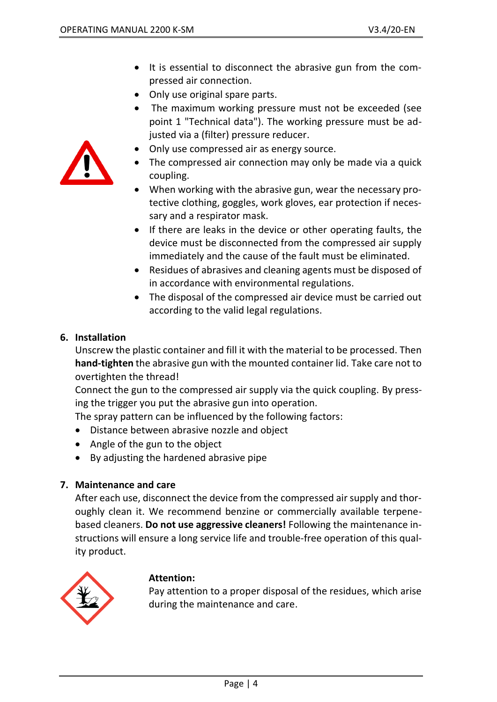

- It is essential to disconnect the abrasive gun from the compressed air connection.
- Only use original spare parts.
- The maximum working pressure must not be exceeded (see point 1 "Technical data"). The working pressure must be adjusted via a (filter) pressure reducer.
- Only use compressed air as energy source.
- The compressed air connection may only be made via a quick coupling.
- When working with the abrasive gun, wear the necessary protective clothing, goggles, work gloves, ear protection if necessary and a respirator mask.
- If there are leaks in the device or other operating faults, the device must be disconnected from the compressed air supply immediately and the cause of the fault must be eliminated.
- Residues of abrasives and cleaning agents must be disposed of in accordance with environmental regulations.
- The disposal of the compressed air device must be carried out according to the valid legal regulations.

#### **6. Installation**

Unscrew the plastic container and fill it with the material to be processed. Then **hand-tighten** the abrasive gun with the mounted container lid. Take care not to overtighten the thread!

Connect the gun to the compressed air supply via the quick coupling. By pressing the trigger you put the abrasive gun into operation.

The spray pattern can be influenced by the following factors:

- Distance between abrasive nozzle and object
- Angle of the gun to the object
- By adjusting the hardened abrasive pipe

#### **7. Maintenance and care**

After each use, disconnect the device from the compressed air supply and thoroughly clean it. We recommend benzine or commercially available terpenebased cleaners. **Do not use aggressive cleaners!** Following the maintenance instructions will ensure a long service life and trouble-free operation of this quality product.



#### **Attention:**

Pay attention to a proper disposal of the residues, which arise during the maintenance and care.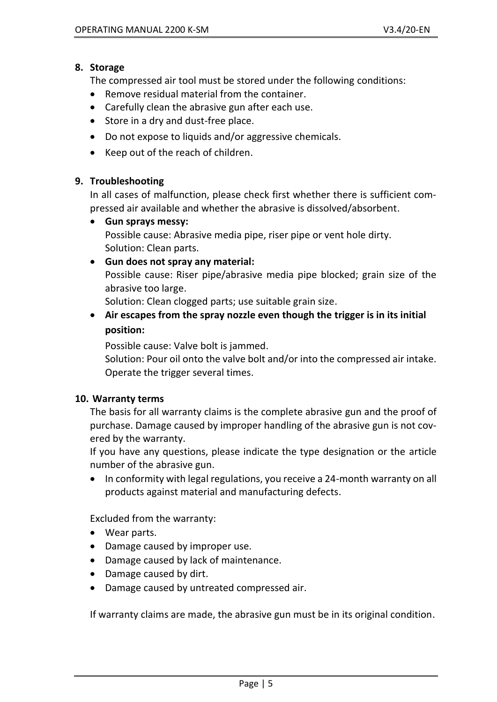#### **8. Storage**

The compressed air tool must be stored under the following conditions:

- Remove residual material from the container.
- Carefully clean the abrasive gun after each use.
- Store in a dry and dust-free place.
- Do not expose to liquids and/or aggressive chemicals.
- Keep out of the reach of children.

#### **9. Troubleshooting**

In all cases of malfunction, please check first whether there is sufficient compressed air available and whether the abrasive is dissolved/absorbent.

• **Gun sprays messy:** Possible cause: Abrasive media pipe, riser pipe or vent hole dirty. Solution: Clean parts.

#### • **Gun does not spray any material:**

Possible cause: Riser pipe/abrasive media pipe blocked; grain size of the abrasive too large.

Solution: Clean clogged parts; use suitable grain size.

• **Air escapes from the spray nozzle even though the trigger is in its initial position:**

Possible cause: Valve bolt is jammed.

Solution: Pour oil onto the valve bolt and/or into the compressed air intake. Operate the trigger several times.

#### **10. Warranty terms**

The basis for all warranty claims is the complete abrasive gun and the proof of purchase. Damage caused by improper handling of the abrasive gun is not covered by the warranty.

If you have any questions, please indicate the type designation or the article number of the abrasive gun.

• In conformity with legal regulations, you receive a 24-month warranty on all products against material and manufacturing defects.

Excluded from the warranty:

- Wear parts.
- Damage caused by improper use.
- Damage caused by lack of maintenance.
- Damage caused by dirt.
- Damage caused by untreated compressed air.

If warranty claims are made, the abrasive gun must be in its original condition.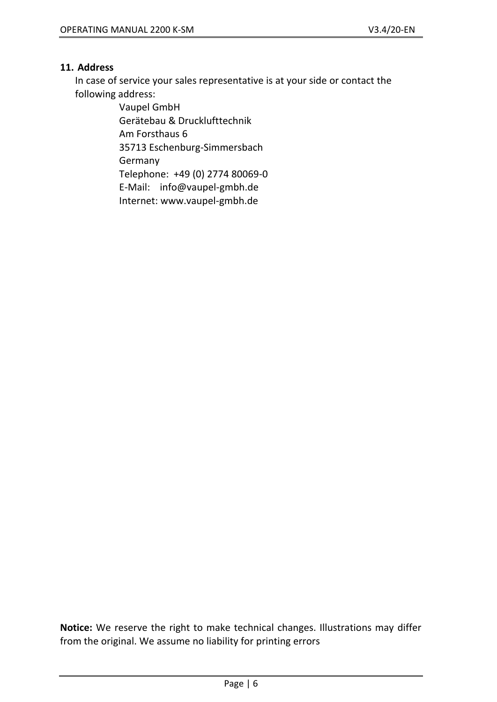#### **11. Address**

In case of service your sales representative is at your side or contact the following address:

> Vaupel GmbH Gerätebau & Drucklufttechnik Am Forsthaus 6 35713 Eschenburg-Simmersbach **Germany** Telephone: +49 (0) 2774 80069-0 E-Mail: info@vaupel-gmbh.de

Internet: [www.vaupel-gmbh.de](http://www.vaupel-gmbh.de/)

**Notice:** We reserve the right to make technical changes. Illustrations may differ from the original. We assume no liability for printing errors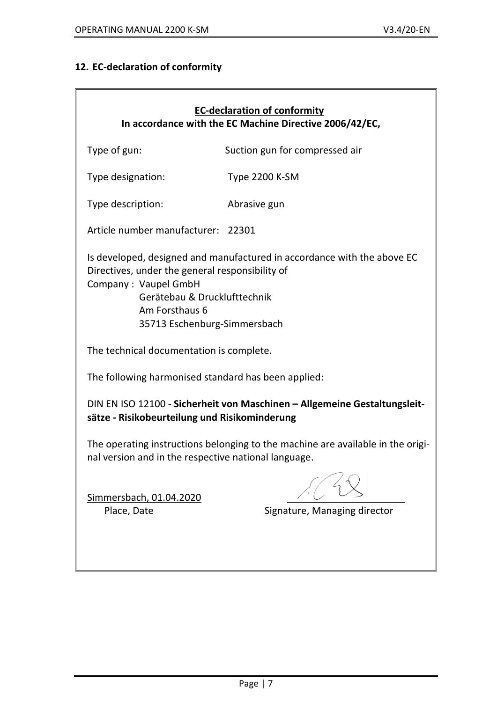### **12. EC-declaration of conformity**

| <b>EC-declaration of conformity</b><br>In accordance with the EC Machine Directive 2006/42/EC,                                                                                                                                       |                                |  |  |  |  |
|--------------------------------------------------------------------------------------------------------------------------------------------------------------------------------------------------------------------------------------|--------------------------------|--|--|--|--|
| Type of gun:                                                                                                                                                                                                                         | Suction gun for compressed air |  |  |  |  |
| Type designation:                                                                                                                                                                                                                    | <b>Type 2200 K-SM</b>          |  |  |  |  |
| Type description:                                                                                                                                                                                                                    | Abrasive gun                   |  |  |  |  |
| Article number manufacturer: 22301                                                                                                                                                                                                   |                                |  |  |  |  |
| Is developed, designed and manufactured in accordance with the above EC<br>Directives, under the general responsibility of<br>Company: Vaupel GmbH<br>Gerätebau & Drucklufttechnik<br>Am Forsthaus 6<br>35713 Eschenburg-Simmersbach |                                |  |  |  |  |
| The technical documentation is complete.                                                                                                                                                                                             |                                |  |  |  |  |
| The following harmonised standard has been applied:                                                                                                                                                                                  |                                |  |  |  |  |
| DIN EN ISO 12100 - Sicherheit von Maschinen - Allgemeine Gestaltungsleit-<br>sätze - Risikobeurteilung und Risikominderung                                                                                                           |                                |  |  |  |  |
| The operating instructions belonging to the machine are available in the origi-<br>nal version and in the respective national language.                                                                                              |                                |  |  |  |  |
| Simmersbach, 01.04.2020<br>Place, Date                                                                                                                                                                                               | Signature, Managing director   |  |  |  |  |